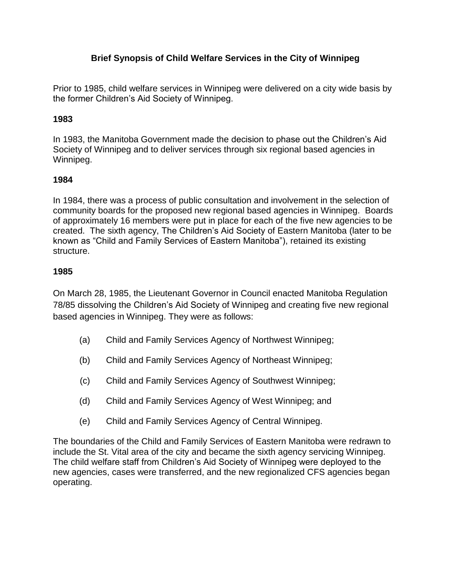## **Brief Synopsis of Child Welfare Services in the City of Winnipeg**

Prior to 1985, child welfare services in Winnipeg were delivered on a city wide basis by the former Children's Aid Society of Winnipeg.

### **1983**

In 1983, the Manitoba Government made the decision to phase out the Children's Aid Society of Winnipeg and to deliver services through six regional based agencies in Winnipeg.

#### **1984**

In 1984, there was a process of public consultation and involvement in the selection of community boards for the proposed new regional based agencies in Winnipeg. Boards of approximately 16 members were put in place for each of the five new agencies to be created. The sixth agency, The Children's Aid Society of Eastern Manitoba (later to be known as "Child and Family Services of Eastern Manitoba"), retained its existing structure.

#### **1985**

On March 28, 1985, the Lieutenant Governor in Council enacted Manitoba Regulation 78/85 dissolving the Children's Aid Society of Winnipeg and creating five new regional based agencies in Winnipeg. They were as follows:

- (a) Child and Family Services Agency of Northwest Winnipeg;
- (b) Child and Family Services Agency of Northeast Winnipeg;
- (c) Child and Family Services Agency of Southwest Winnipeg;
- (d) Child and Family Services Agency of West Winnipeg; and
- (e) Child and Family Services Agency of Central Winnipeg.

The boundaries of the Child and Family Services of Eastern Manitoba were redrawn to include the St. Vital area of the city and became the sixth agency servicing Winnipeg. The child welfare staff from Children's Aid Society of Winnipeg were deployed to the new agencies, cases were transferred, and the new regionalized CFS agencies began operating.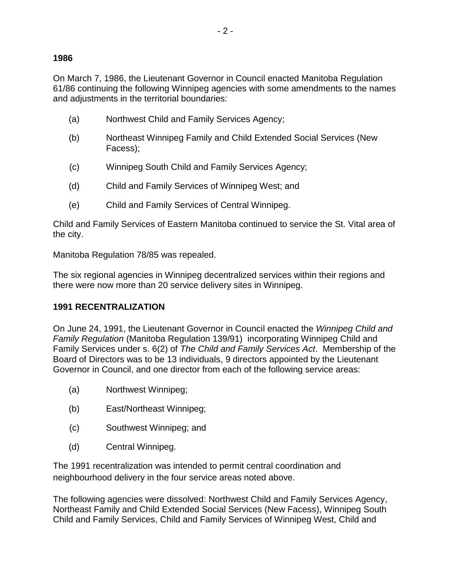### **1986**

On March 7, 1986, the Lieutenant Governor in Council enacted Manitoba Regulation 61/86 continuing the following Winnipeg agencies with some amendments to the names and adjustments in the territorial boundaries:

- (a) Northwest Child and Family Services Agency;
- (b) Northeast Winnipeg Family and Child Extended Social Services (New Facess);
- (c) Winnipeg South Child and Family Services Agency;
- (d) Child and Family Services of Winnipeg West; and
- (e) Child and Family Services of Central Winnipeg.

Child and Family Services of Eastern Manitoba continued to service the St. Vital area of the city.

Manitoba Regulation 78/85 was repealed.

The six regional agencies in Winnipeg decentralized services within their regions and there were now more than 20 service delivery sites in Winnipeg.

### **1991 RECENTRALIZATION**

On June 24, 1991, the Lieutenant Governor in Council enacted the *Winnipeg Child and Family Regulation* (Manitoba Regulation 139/91) incorporating Winnipeg Child and Family Services under s. 6(2) of *The Child and Family Services Act*. Membership of the Board of Directors was to be 13 individuals, 9 directors appointed by the Lieutenant Governor in Council, and one director from each of the following service areas:

- (a) Northwest Winnipeg;
- (b) East/Northeast Winnipeg;
- (c) Southwest Winnipeg; and
- (d) Central Winnipeg.

The 1991 recentralization was intended to permit central coordination and neighbourhood delivery in the four service areas noted above.

The following agencies were dissolved: Northwest Child and Family Services Agency, Northeast Family and Child Extended Social Services (New Facess), Winnipeg South Child and Family Services, Child and Family Services of Winnipeg West, Child and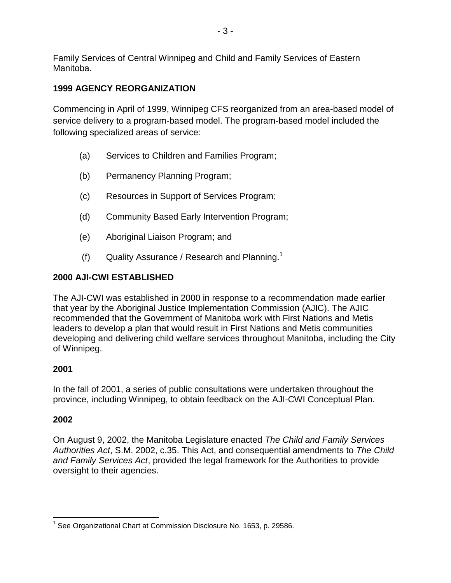Family Services of Central Winnipeg and Child and Family Services of Eastern Manitoba.

## **1999 AGENCY REORGANIZATION**

Commencing in April of 1999, Winnipeg CFS reorganized from an area-based model of service delivery to a program-based model. The program-based model included the following specialized areas of service:

- (a) Services to Children and Families Program;
- (b) Permanency Planning Program;
- (c) Resources in Support of Services Program;
- (d) Community Based Early Intervention Program;
- (e) Aboriginal Liaison Program; and
- (f) Quality Assurance / Research and Planning.<sup>1</sup>

# **2000 AJI-CWI ESTABLISHED**

The AJI-CWI was established in 2000 in response to a recommendation made earlier that year by the Aboriginal Justice Implementation Commission (AJIC). The AJIC recommended that the Government of Manitoba work with First Nations and Metis leaders to develop a plan that would result in First Nations and Metis communities developing and delivering child welfare services throughout Manitoba, including the City of Winnipeg.

## **2001**

In the fall of 2001, a series of public consultations were undertaken throughout the province, including Winnipeg, to obtain feedback on the AJI-CWI Conceptual Plan.

## **2002**

On August 9, 2002, the Manitoba Legislature enacted *The Child and Family Services Authorities Act*, S.M. 2002, c.35. This Act, and consequential amendments to *The Child and Family Services Act*, provided the legal framework for the Authorities to provide oversight to their agencies.

 $\overline{a}$ <sup>1</sup> See Organizational Chart at Commission Disclosure No. 1653, p. 29586.